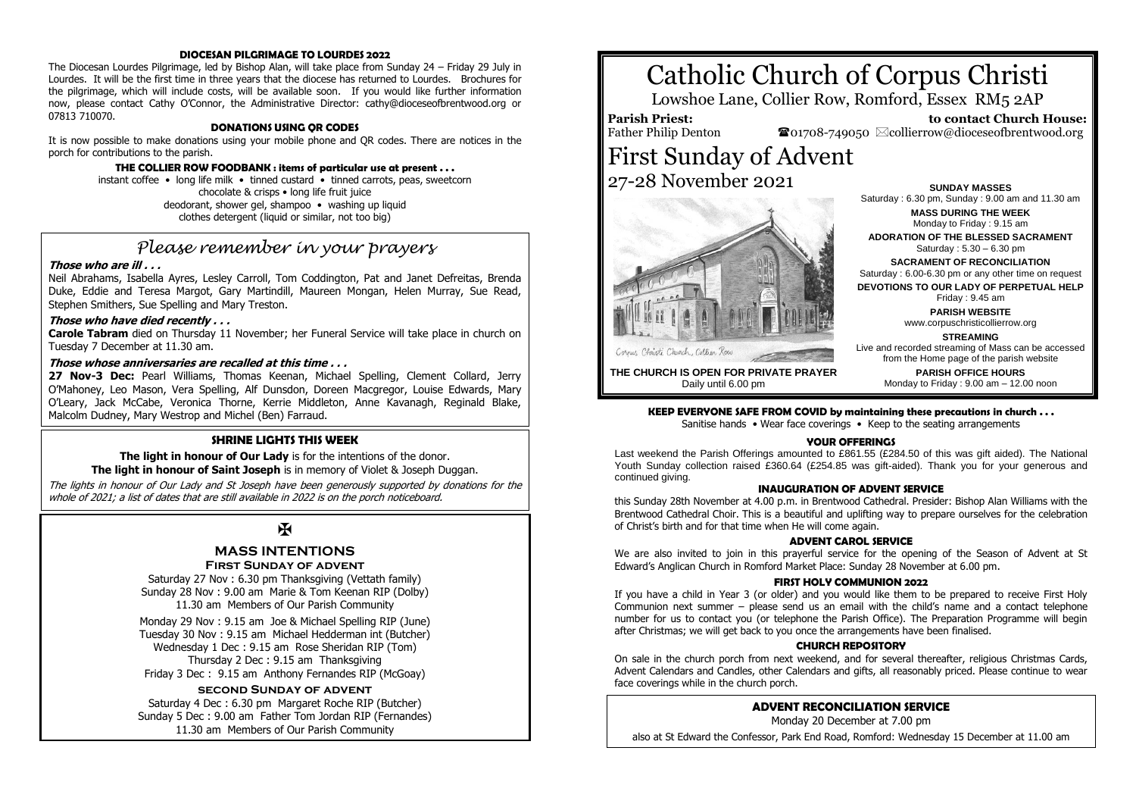### **DIOCESAN PILGRIMAGE TO LOURDES 2022**

The Diocesan Lourdes Pilgrimage, led by Bishop Alan, will take place from Sunday 24 – Friday 29 July in Lourdes. It will be the first time in three years that the diocese has returned to Lourdes. Brochures for the pilgrimage, which will include costs, will be available soon. If you would like further information now, please contact Cathy O'Connor, the Administrative Director: cathy@dioceseofbrentwood.org or 07813 710070.

#### **DONATIONS USING QR CODES**

It is now possible to make donations using your mobile phone and QR codes. There are notices in the porch for contributions to the parish.

#### **THE COLLIER ROW FOODBANK : items of particular use at present . . .**

instant coffee • long life milk • tinned custard • tinned carrots, peas, sweetcorn chocolate & crisps • long life fruit juice deodorant, shower gel, shampoo • washing up liquid clothes detergent (liquid or similar, not too big)

# *Please remember in your prayers*

#### **Those who are ill . . .**

Neil Abrahams, Isabella Ayres, Lesley Carroll, Tom Coddington, Pat and Janet Defreitas, Brenda Duke, Eddie and Teresa Margot, Gary Martindill, Maureen Mongan, Helen Murray, Sue Read, Stephen Smithers, Sue Spelling and Mary Treston.

#### **Those who have died recently . . .**

**Carole Tabram** died on Thursday 11 November; her Funeral Service will take place in church on Tuesday 7 December at 11.30 am.

### **Those whose anniversaries are recalled at this time . . .**

**27 Nov-3 Dec:** Pearl Williams, Thomas Keenan, Michael Spelling, Clement Collard, Jerry O'Mahoney, Leo Mason, Vera Spelling, Alf Dunsdon, Doreen Macgregor, Louise Edwards, Mary O'Leary, Jack McCabe, Veronica Thorne, Kerrie Middleton, Anne Kavanagh, Reginald Blake, Malcolm Dudney, Mary Westrop and Michel (Ben) Farraud.

#### **SHRINE LIGHTS THIS WEEK**

**The light in honour of Our Lady** is for the intentions of the donor. **The light in honour of Saint Joseph** is in memory of Violet & Joseph Duggan.

The lights in honour of Our Lady and St Joseph have been generously supported by donations for the whole of 2021; a list of dates that are still available in 2022 is on the porch noticeboard.

# $\mathbf K$

#### **MASS INTENTIONS First Sunday of advent**

Saturday 27 Nov : 6.30 pm Thanksgiving (Vettath family) Sunday 28 Nov : 9.00 am Marie & Tom Keenan RIP (Dolby) 11.30 am Members of Our Parish Community

Monday 29 Nov : 9.15 am Joe & Michael Spelling RIP (June) Tuesday 30 Nov : 9.15 am Michael Hedderman int (Butcher) Wednesday 1 Dec : 9.15 am Rose Sheridan RIP (Tom) Thursday 2 Dec : 9.15 am Thanksgiving Friday 3 Dec : 9.15 am Anthony Fernandes RIP (McGoay)

#### **second Sunday of advent**

Saturday 4 Dec : 6.30 pm Margaret Roche RIP (Butcher) Sunday 5 Dec : 9.00 am Father Tom Jordan RIP (Fernandes) 11.30 am Members of Our Parish Community

# Catholic Church of Corpus Christi

Lowshoe Lane, Collier Row, Romford, Essex RM5 2AP

**Parish Priest:**

Father Philip Denton

 **to contact Church House:**  $\bullet$ 01708-749050  $\boxtimes$ collierrow@dioceseofbrentwood.org

# First Sunday of Advent 27-28 November 2021



Saturday : 6.30 pm, Sunday : 9.00 am and 11.30 am **MASS DURING THE WEEK** Monday to Friday : 9.15 am **ADORATION OF THE BLESSED SACRAMENT** Saturday : 5.30 – 6.30 pm **SACRAMENT OF RECONCILIATION** Saturday : 6.00-6.30 pm or any other time on request **DEVOTIONS TO OUR LADY OF PERPETUAL HELP**

**SUNDAY MASSES**

Friday : 9.45 am **PARISH WEBSITE**

www.corpuschristicollierrow.org

**STREAMING**

Live and recorded streaming of Mass can be accessed from the Home page of the parish website **PARISH OFFICE HOURS** Monday to Friday : 9.00 am – 12.00 noon

**THE CHURCH IS OPEN FOR PRIVATE PRAYER** Daily until 6.00 pm

#### **KEEP EVERYONE SAFE FROM COVID by maintaining these precautions in church . . .**

Sanitise hands • Wear face coverings • Keep to the seating arrangements

#### **YOUR OFFERINGS**

Last weekend the Parish Offerings amounted to £861.55 (£284.50 of this was gift aided). The National Youth Sunday collection raised £360.64 (£254.85 was gift-aided). Thank you for your generous and continued giving.

#### **INAUGURATION OF ADVENT SERVICE**

this Sunday 28th November at 4.00 p.m. in Brentwood Cathedral. Presider: Bishop Alan Williams with the Brentwood Cathedral Choir. This is a beautiful and uplifting way to prepare ourselves for the celebration of Christ's birth and for that time when He will come again.

#### **ADVENT CAROL SERVICE**

We are also invited to join in this prayerful service for the opening of the Season of Advent at St Edward's Anglican Church in Romford Market Place: Sunday 28 November at 6.00 pm.

#### **FIRST HOLY COMMUNION 2022**

If you have a child in Year 3 (or older) and you would like them to be prepared to receive First Holy Communion next summer – please send us an email with the child's name and a contact telephone number for us to contact you (or telephone the Parish Office). The Preparation Programme will begin after Christmas; we will get back to you once the arrangements have been finalised.

#### **CHURCH REPOSITORY**

On sale in the church porch from next weekend, and for several thereafter, religious Christmas Cards, Advent Calendars and Candles, other Calendars and gifts, all reasonably priced. Please continue to wear face coverings while in the church porch.

## **ADVENT RECONCILIATION SERVICE**

Monday 20 December at 7.00 pm

also at St Edward the Confessor, Park End Road, Romford: Wednesday 15 December at 11.00 am